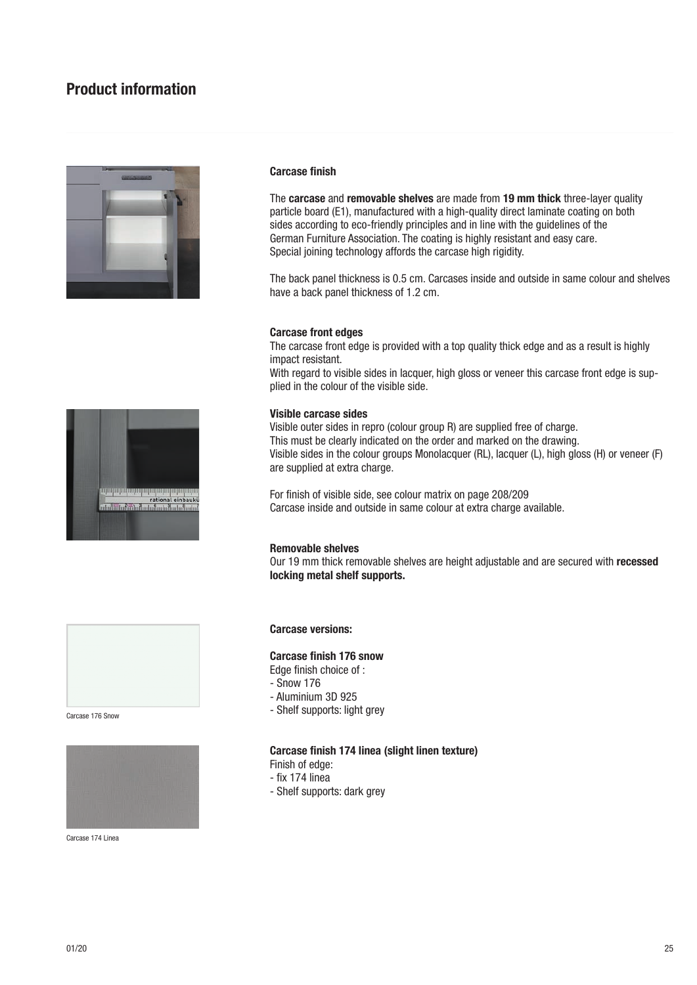# Product information



### Carcase finish

The carcase and removable shelves are made from 19 mm thick three-layer quality particle board (E1), manufactured with a high-quality direct laminate coating on both sides according to eco-friendly principles and in line with the guidelines of the German Furniture Association. The coating is highly resistant and easy care. Special joining technology affords the carcase high rigidity.

The back panel thickness is 0.5 cm. Carcases inside and outside in same colour and shelves have a back panel thickness of 1.2 cm.

### Carcase front edges

The carcase front edge is provided with a top quality thick edge and as a result is highly impact resistant. With regard to visible sides in lacquer, high gloss or veneer this carcase front edge is supplied in the colour of the visible side.

## Visible carcase sides

Visible outer sides in repro (colour group R) are supplied free of charge. This must be clearly indicated on the order and marked on the drawing. Visible sides in the colour groups Monolacquer (RL), lacquer (L), high gloss (H) or veneer (F) are supplied at extra charge.

For finish of visible side, see colour matrix on page 208/209 Carcase inside and outside in same colour at extra charge available.

### Removable shelves

Our 19 mm thick removable shelves are height adjustable and are secured with recessed locking metal shelf supports.





Carcase 174 Linea

Carcase versions:

### Carcase finish 176 snow

- Edge finish choice of :
- Snow 176
- Aluminium 3D 925
- **Carcase 176 Snow**<br>Carcase 176 Snow

### Carcase finish 174 linea (slight linen texture)

- Finish of edge:
- fix 174 linea
- Shelf supports: dark grey

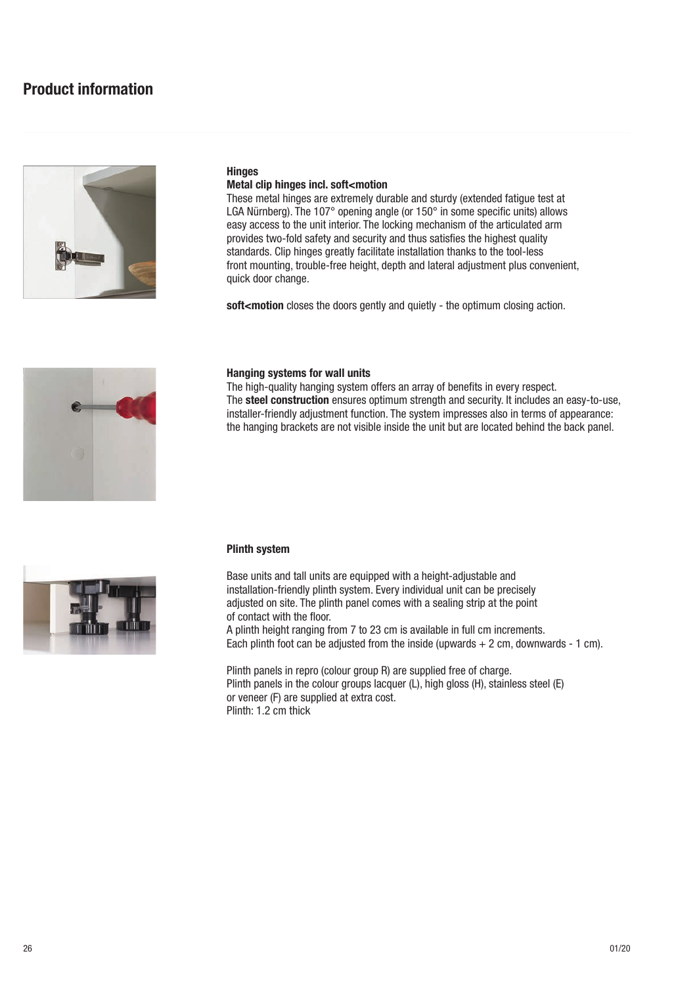

### **Hinges** Metal clip hinges incl. soft<motion

These metal hinges are extremely durable and sturdy (extended fatigue test at LGA Nürnberg). The 107° opening angle (or 150° in some specific units) allows easy access to the unit interior. The locking mechanism of the articulated arm provides two-fold safety and security and thus satisfies the highest quality standards. Clip hinges greatly facilitate installation thanks to the tool-less front mounting, trouble-free height, depth and lateral adjustment plus convenient, quick door change.

soft<motion closes the doors gently and quietly - the optimum closing action.



## Hanging systems for wall units

The high-quality hanging system offers an array of benefits in every respect. The steel construction ensures optimum strength and security. It includes an easy-to-use, installer-friendly adjustment function. The system impresses also in terms of appearance: the hanging brackets are not visible inside the unit but are located behind the back panel.



Base units and tall units are equipped with a height-adjustable and installation-friendly plinth system. Every individual unit can be precisely adjusted on site. The plinth panel comes with a sealing strip at the point of contact with the floor. A plinth height ranging from 7 to 23 cm is available in full cm increments. Each plinth foot can be adjusted from the inside (upwards  $+ 2$  cm, downwards  $- 1$  cm).

Plinth panels in repro (colour group R) are supplied free of charge. Plinth panels in the colour groups lacquer (L), high gloss (H), stainless steel (E) or veneer (F) are supplied at extra cost. Plinth: 1.2 cm thick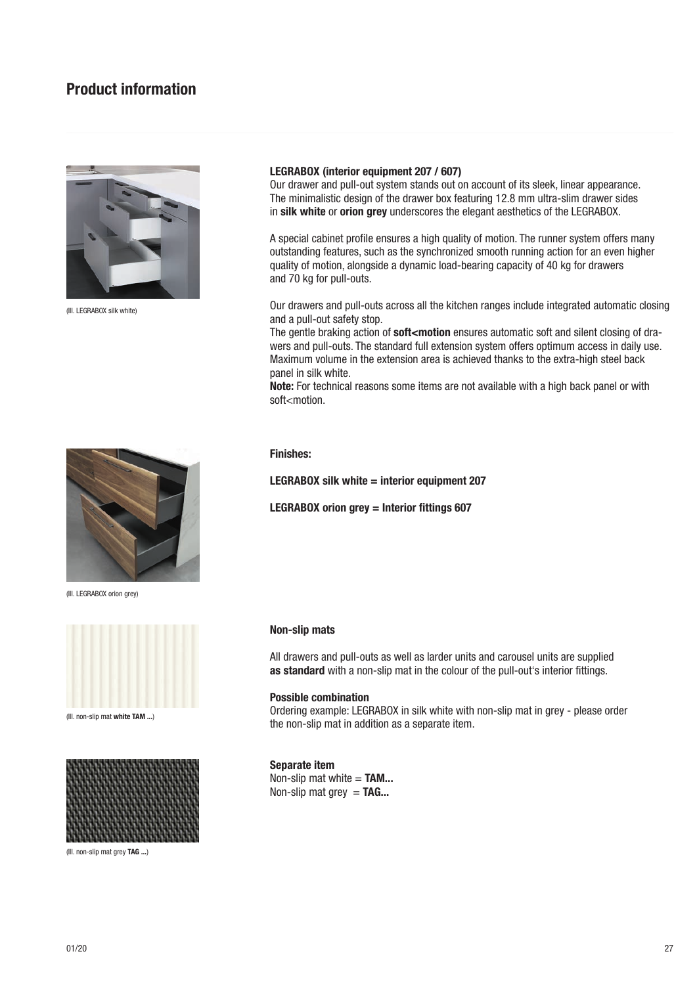# Product information



(Ill. LEGRABOX silk white)

### LEGRABOX (interior equipment 207 / 607)

Our drawer and pull-out system stands out on account of its sleek, linear appearance. The minimalistic design of the drawer box featuring 12.8 mm ultra-slim drawer sides in silk white or orion grey underscores the elegant aesthetics of the LEGRABOX.

A special cabinet profile ensures a high quality of motion. The runner system offers many outstanding features, such as the synchronized smooth running action for an even higher quality of motion, alongside a dynamic load-bearing capacity of 40 kg for drawers and 70 kg for pull-outs.

Our drawers and pull-outs across all the kitchen ranges include integrated automatic closing and a pull-out safety stop.

The gentle braking action of soft<motion ensures automatic soft and silent closing of drawers and pull-outs. The standard full extension system offers optimum access in daily use. Maximum volume in the extension area is achieved thanks to the extra-high steel back panel in silk white.

Note: For technical reasons some items are not available with a high back panel or with soft<motion.



LEGRABOX silk white  $=$  interior equipment 207

LEGRABOX orion grey = Interior fittings 607

### Non-slip mats

All drawers and pull-outs as well as larder units and carousel units are supplied as standard with a non-slip mat in the colour of the pull-out's interior fittings.

### Possible combination

Ordering example: LEGRABOX in silk white with non-slip mat in grey - please order The non-slip mat white TAM ...)<br>the non-slip mat in addition as a separate item.

## Separate item

Non-slip mat white  $=$  TAM... Non-slip mat grey  $=$  TAG...



(Ill. LEGRABOX orion grey)





(Ill. non-slip mat grey TAG ...)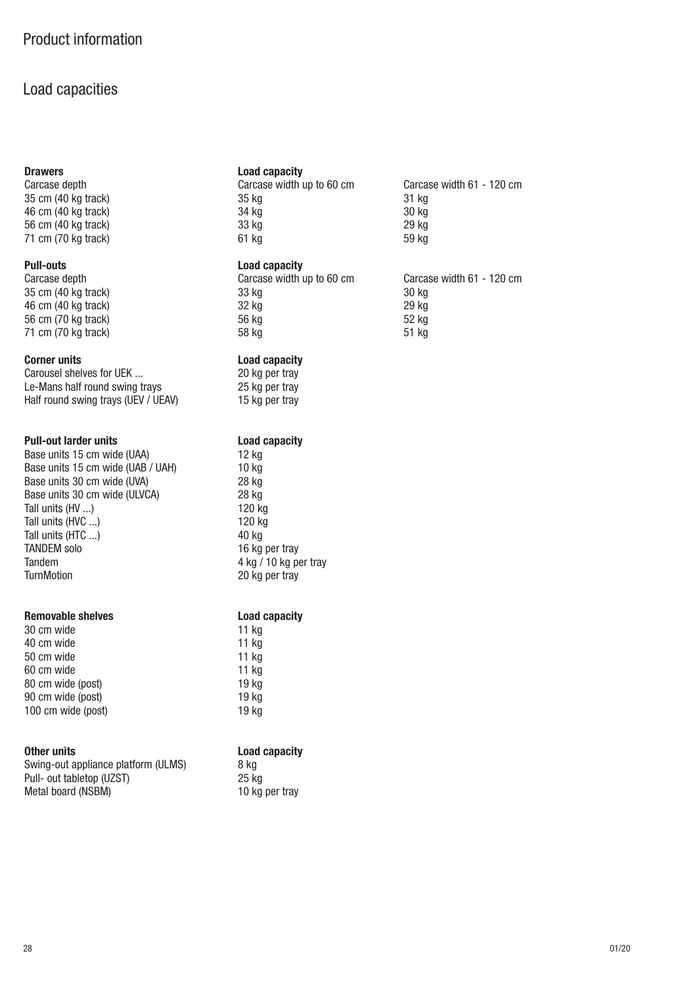# Load capacities

35 cm (40 kg track) 35 kg<br>46 cm (40 kg track) 34 kg 46 cm (40 kg track) 34 kg<br>56 cm (40 kg track) 33 kg  $56$  cm  $(40 \text{ kg}$  track)  $71 \text{ cm}$  (70 kg track) 61 kg

Carousel shelves for UEK ... 20 kg per tray Le-Mans half round swing trays 25 kg per tray<br>
Half round swing trays (UEV / UEAV) 15 kg per tray Half round swing trays (UEV / UEAV)

**Pull-out larder units Load capacity**<br>
Base units 15 cm wide (UAA) 12 kg Base units 15 cm wide (UAA) 12 kg<br>Base units 15 cm wide (UAB / UAH) 10 kg Base units 15 cm wide  $(UBB / UAH)$ Base units 30 cm wide (UVA) 28 kg Base units 30 cm wide (ULVCA) 28 kg Tall units (HV ...) 120 kg Tall units (HVC ...) 120 kg Tall units (HTC ...) 40 kg TANDEM solo 16 kg per tray Tandem 4 kg / 10 kg per tray<br>TurnMotion 20 kg per trav

## Removable shelves **Removable** shelves **Load capacity**

| 30 cm wide         | 11 $kg$ |
|--------------------|---------|
| 40 cm wide         | $11$ kg |
| 50 cm wide         | 11 $kg$ |
| 60 cm wide         | 11 $kg$ |
| 80 cm wide (post)  | 19 kg   |
| 90 cm wide (post)  | 19 kg   |
| 100 cm wide (post) | 19 kg   |

| Swing-out appliance platform (ULMS) | 8 ka  |
|-------------------------------------|-------|
| Pull- out tabletop (UZST)           | 25 ko |
| Metal board (NSBM)                  | 10 ko |

## Drawers **Load capacity**

Carcase depth Carcase width up to 60 cm Carcase width 61 - 120 cm

## Pull-outs Load capacity

| Carcase depth       | Carcase width up to 60 cm |       |
|---------------------|---------------------------|-------|
| 35 cm (40 kg track) | 33 ka                     | 30 kg |
| 46 cm (40 kg track) | 32 ka                     | 29 kg |
| 56 cm (70 kg track) | 56 ka                     | 52 kg |
| 71 cm (70 kg track) | 58 ka                     | 51 kg |

## Corner units **Corner units** Load capacity

20 kg per tray

| 11 kg<br>11 kg<br>11 kg<br>11 kg<br>19 kg<br>19 kg<br>19 kg |
|-------------------------------------------------------------|

## Other units **Load capacity**

 $25$  kg 10 kg per tray

|       | oui ouoo winni o i | . |
|-------|--------------------|---|
| 31 kg |                    |   |
| 30 kg |                    |   |
| 29 kg |                    |   |
| 59 kg |                    |   |
|       |                    |   |
|       |                    |   |

Carcase depth Carcase width up to 60 cm Carcase width 61 - 120 cm